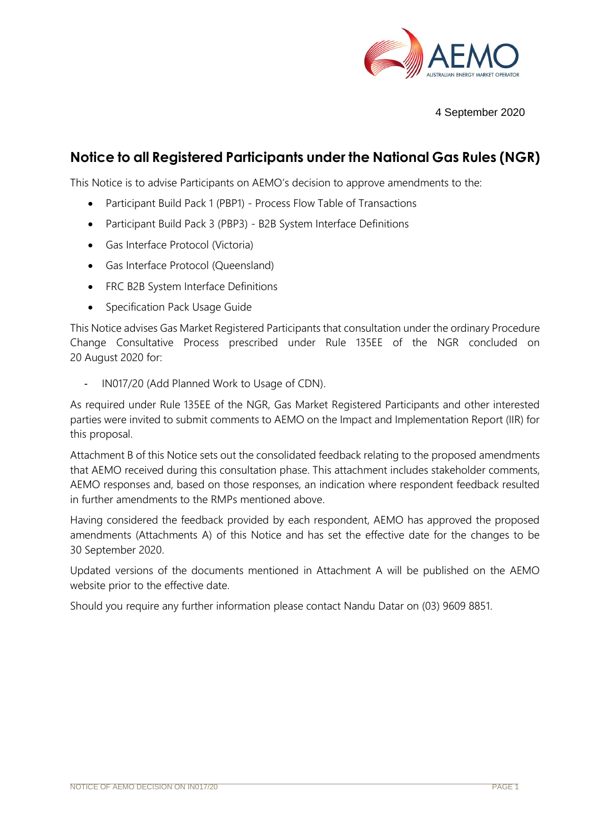

4 September 2020

# **Notice to all Registered Participants under the National Gas Rules (NGR)**

This Notice is to advise Participants on AEMO's decision to approve amendments to the:

- Participant Build Pack 1 (PBP1) Process Flow Table of Transactions
- Participant Build Pack 3 (PBP3) B2B System Interface Definitions
- Gas Interface Protocol (Victoria)
- Gas Interface Protocol (Queensland)
- FRC B2B System Interface Definitions
- Specification Pack Usage Guide

This Notice advises Gas Market Registered Participants that consultation under the ordinary Procedure Change Consultative Process prescribed under Rule 135EE of the NGR concluded on 20 August 2020 for:

- IN017/20 (Add Planned Work to Usage of CDN).

As required under Rule 135EE of the NGR, Gas Market Registered Participants and other interested parties were invited to submit comments to AEMO on the Impact and Implementation Report (IIR) for this proposal.

Attachment B of this Notice sets out the consolidated feedback relating to the proposed amendments that AEMO received during this consultation phase. This attachment includes stakeholder comments, AEMO responses and, based on those responses, an indication where respondent feedback resulted in further amendments to the RMPs mentioned above.

Having considered the feedback provided by each respondent, AEMO has approved the proposed amendments (Attachments A) of this Notice and has set the effective date for the changes to be 30 September 2020.

Updated versions of the documents mentioned in Attachment A will be published on the AEMO website prior to the effective date.

Should you require any further information please contact Nandu Datar on (03) 9609 8851.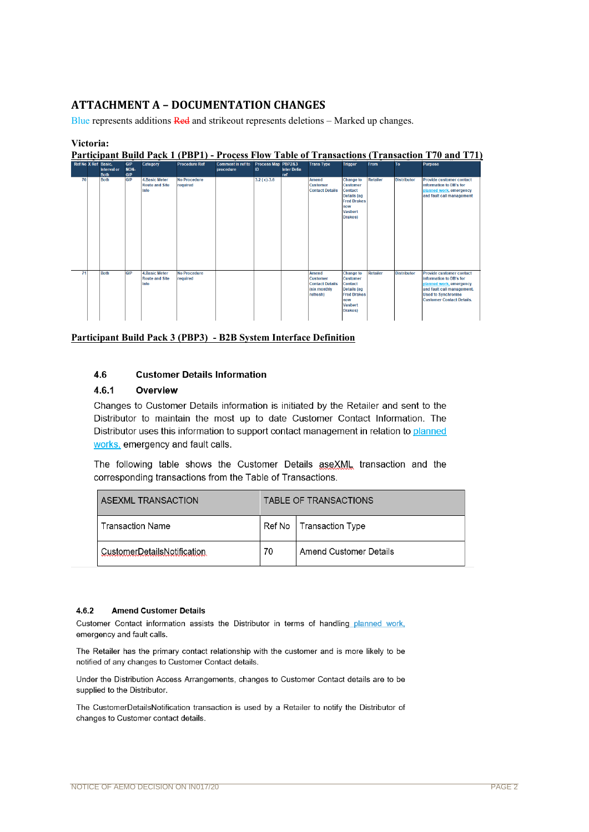### **ATTACHMENT A – DOCUMENTATION CHANGES**

Blue represents additions Red and strike out represents deletions – Marked up changes.

# **Victoria:**

|                     |                            |                                         |                                                       |                                 |                                       |                          |                           |                                                                                |                                                                                                                                        |                 |                    | Participant Build Pack 1 (PBP1) - Process Flow Table of Transactions (Transaction T70 and T71)                                                                                        |
|---------------------|----------------------------|-----------------------------------------|-------------------------------------------------------|---------------------------------|---------------------------------------|--------------------------|---------------------------|--------------------------------------------------------------------------------|----------------------------------------------------------------------------------------------------------------------------------------|-----------------|--------------------|---------------------------------------------------------------------------------------------------------------------------------------------------------------------------------------|
| Ref No X Ref Basic. | Interval or<br><b>Both</b> | <b>GIP</b><br><b>NON-</b><br><b>GIP</b> | Category                                              | <b>Procedure Ref</b>            | <b>Comment in ref to</b><br>procedure | Process Map PBP2&3<br>ID | <b>Inter Defin</b><br>ref | <b>Trans Type</b>                                                              | Trigger                                                                                                                                | <b>From</b>     | To                 | <b>Purpose</b>                                                                                                                                                                        |
| 70                  | <b>Both</b>                | GIP                                     | <b>4.Basic Meter</b><br><b>Route and Site</b><br>Info | <b>No Procedure</b><br>required |                                       | $3.2$ (c)-3.6            |                           | Amend<br><b>Customer</b><br><b>Contact Details</b>                             | <b>Change to</b><br><b>Customer</b><br>Contact<br><b>Details</b> (eg<br><b>Fred Drakes</b><br>now<br>Vashert<br>Drakes)                | <b>Retailer</b> | <b>Distributor</b> | <b>Provide customer contact</b><br>information to DB's for<br>planned work, emergency<br>and fault call management                                                                    |
| 71                  | <b>Both</b>                | GIP                                     | <b>4.Basic Meter</b><br><b>Route and Site</b><br>Info | <b>No Procedure</b><br>required |                                       |                          |                           | Amend<br><b>Customer</b><br><b>Contact Details</b><br>(six monthly<br>refresh) | <b>Change to</b><br><b>Customer</b><br><b>Contact</b><br><b>Details (eg)</b><br><b>Fred Drakes</b><br>now<br><b>Vasbert</b><br>Drakes) | <b>Retailer</b> | <b>Distributor</b> | <b>Provide customer contact</b><br>information to DB's for<br>planned work, emergency<br>and fault call management.<br><b>Used to Synchronise</b><br><b>Customer Contact Details.</b> |

**Participant Build Pack 3 (PBP3) - B2B System Interface Definition**

#### 4.6 **Customer Details Information**

#### 4.6.1 Overview

Changes to Customer Details information is initiated by the Retailer and sent to the Distributor to maintain the most up to date Customer Contact Information. The Distributor uses this information to support contact management in relation to planned works, emergency and fault calls.

The following table shows the Customer Details aseXML transaction and the corresponding transactions from the Table of Transactions.

| ASEXML TRANSACTION                 | TABLE OF TRANSACTIONS |                           |  |
|------------------------------------|-----------------------|---------------------------|--|
| <b>Transaction Name</b>            |                       | Ref No   Transaction Type |  |
| <b>CustomerDetailsNotification</b> | 70                    | Amend Customer Details    |  |

#### $4.6.2$ **Amend Customer Details**

Customer Contact information assists the Distributor in terms of handling planned work, emergency and fault calls.

The Retailer has the primary contact relationship with the customer and is more likely to be notified of any changes to Customer Contact details.

Under the Distribution Access Arrangements, changes to Customer Contact details are to be supplied to the Distributor.

The CustomerDetailsNotification transaction is used by a Retailer to notify the Distributor of changes to Customer contact details.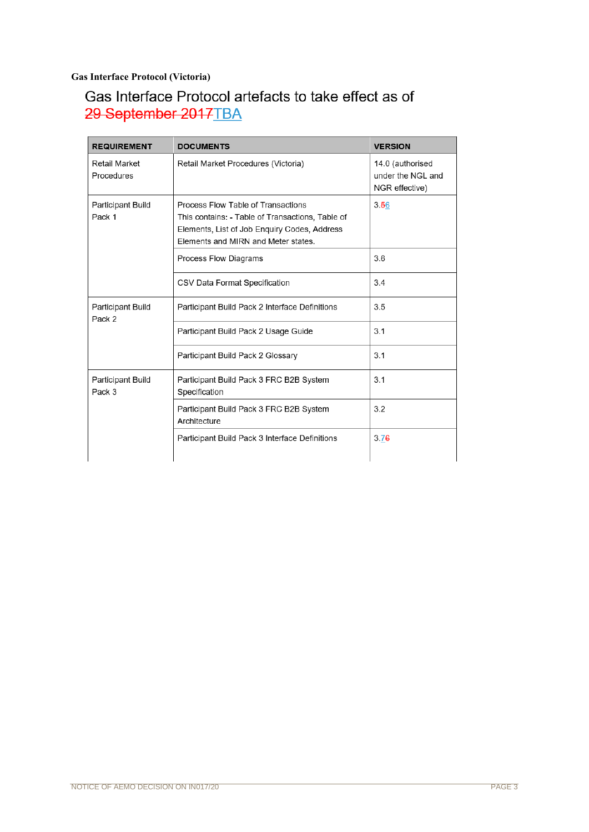## **Gas Interface Protocol (Victoria)**

# Gas Interface Protocol artefacts to take effect as of 29 September 2017TBA

| <b>REQUIREMENT</b>                 | <b>DOCUMENTS</b>                                                                                                                                                              | <b>VERSION</b>                                          |
|------------------------------------|-------------------------------------------------------------------------------------------------------------------------------------------------------------------------------|---------------------------------------------------------|
| <b>Retail Market</b><br>Procedures | Retail Market Procedures (Victoria)                                                                                                                                           | 14.0 (authorised<br>under the NGL and<br>NGR effective) |
| Participant Build<br>Pack 1        | Process Flow Table of Transactions<br>This contains: - Table of Transactions, Table of<br>Elements, List of Job Enquiry Codes, Address<br>Elements and MIRN and Meter states. | 3.56                                                    |
|                                    | Process Flow Diagrams                                                                                                                                                         | 3.6                                                     |
|                                    | CSV Data Format Specification                                                                                                                                                 | 3.4                                                     |
| Participant Build<br>Pack 2        | Participant Build Pack 2 Interface Definitions                                                                                                                                | 3.5                                                     |
|                                    | Participant Build Pack 2 Usage Guide                                                                                                                                          | 3.1                                                     |
|                                    | Participant Build Pack 2 Glossary                                                                                                                                             | 3.1                                                     |
| Participant Build<br>Pack 3        | Participant Build Pack 3 FRC B2B System<br>Specification                                                                                                                      | 3.1                                                     |
|                                    | Participant Build Pack 3 FRC B2B System<br>Architecture                                                                                                                       | 3.2                                                     |
|                                    | Participant Build Pack 3 Interface Definitions                                                                                                                                | 3.76                                                    |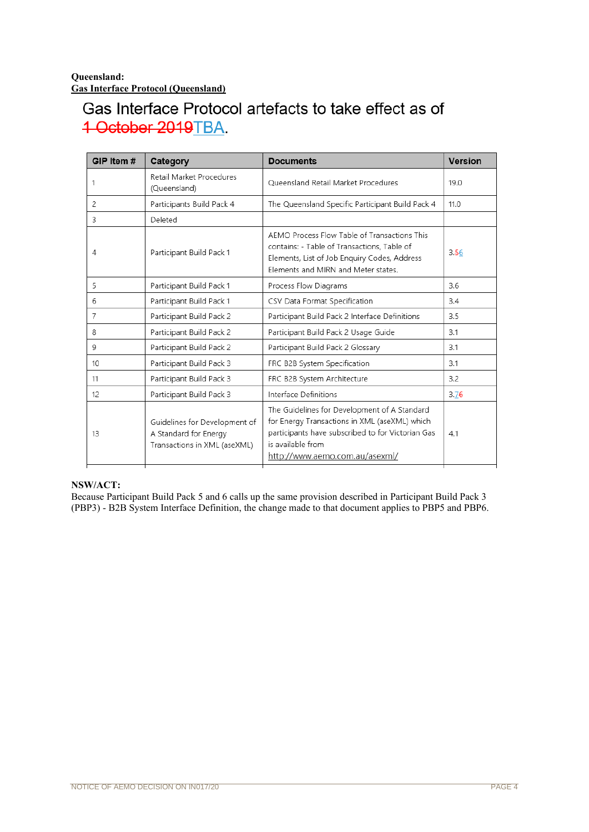# Gas Interface Protocol artefacts to take effect as of 1 October 2019TBA.

| GIP Item # | Category                                                                               | <b>Documents</b>                                                                                                                                                                                          | <b>Version</b> |
|------------|----------------------------------------------------------------------------------------|-----------------------------------------------------------------------------------------------------------------------------------------------------------------------------------------------------------|----------------|
| 1          | Retail Market Procedures<br>(Queensland)                                               | Queensland Retail Market Procedures                                                                                                                                                                       | 19.0           |
| 2          | Participants Build Pack 4                                                              | The Queensland Specific Participant Build Pack 4                                                                                                                                                          | 11.0           |
| 3          | Deleted                                                                                |                                                                                                                                                                                                           |                |
| 4          | Participant Build Pack 1                                                               | AEMO Process Flow Table of Transactions This<br>contains: - Table of Transactions, Table of<br>Elements, List of Job Enquiry Codes, Address<br>Elements and MIRN and Meter states.                        | 3.56           |
| 5          | Participant Build Pack 1                                                               | Process Flow Diagrams                                                                                                                                                                                     | 3.6            |
| 6          | Participant Build Pack 1                                                               | CSV Data Format Specification                                                                                                                                                                             | 3.4            |
| 7          | Participant Build Pack 2                                                               | Participant Build Pack 2 Interface Definitions                                                                                                                                                            | 3.5            |
| 8          | Participant Build Pack 2                                                               | Participant Build Pack 2 Usage Guide                                                                                                                                                                      | 3.1            |
| 9          | Participant Build Pack 2                                                               | Participant Build Pack 2 Glossary                                                                                                                                                                         | 3.1            |
| 10         | Participant Build Pack 3                                                               | FRC B2B System Specification                                                                                                                                                                              | 3.1            |
| 11         | Participant Build Pack 3                                                               | FRC B2B System Architecture                                                                                                                                                                               | 3.2            |
| 12         | Participant Build Pack 3                                                               | Interface Definitions                                                                                                                                                                                     | 3.76           |
| 13         | Guidelines for Development of<br>A Standard for Energy<br>Transactions in XML (aseXML) | The Guidelines for Development of A Standard<br>for Energy Transactions in XML (aseXML) which<br>participants have subscribed to for Victorian Gas<br>is available from<br>http://www.aemo.com.au/asexml/ | 4.1            |

#### **NSW/ACT:**

Because Participant Build Pack 5 and 6 calls up the same provision described in Participant Build Pack 3 (PBP3) - B2B System Interface Definition, the change made to that document applies to PBP5 and PBP6.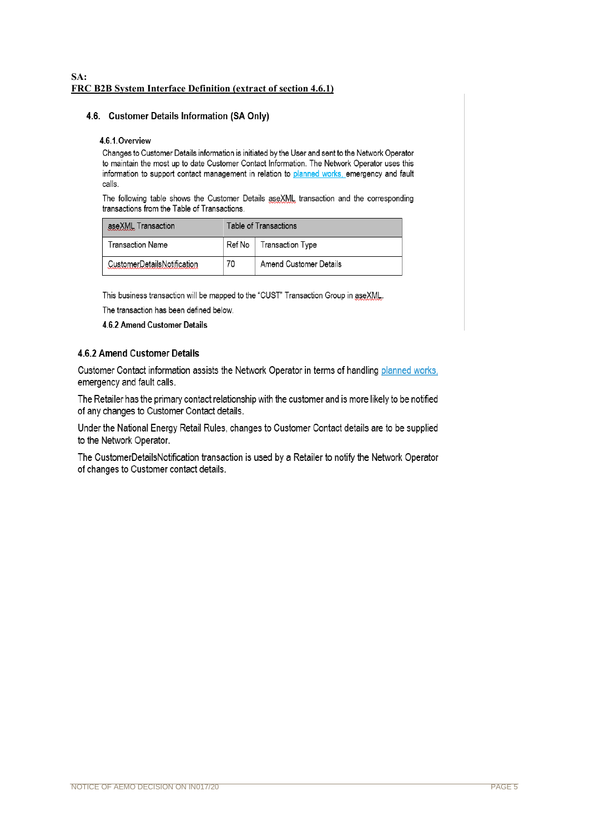#### **SA: FRC B2B System Interface Definition (extract of section 4.6.1)**

#### 4.6. Customer Details Information (SA Only)

#### 4.6.1. Overview

Changes to Customer Details information is initiated by the User and sent to the Network Operator to maintain the most up to date Customer Contact Information. The Network Operator uses this information to support contact management in relation to planned works, emergency and fault calls.

The following table shows the Customer Details aseXML transaction and the corresponding transactions from the Table of Transactions.

| aseXML Transaction          |          | Table of Transactions  |
|-----------------------------|----------|------------------------|
| Transaction Name            | Ref No I | Transaction Type       |
| CustomerDetailsNotification | 70       | Amend Customer Details |

This business transaction will be mapped to the "CUST" Transaction Group in aseXML.

The transaction has been defined below.

#### 4.6.2 Amend Customer Details

### 4.6.2 Amend Customer Details

Customer Contact information assists the Network Operator in terms of handling planned works, emergency and fault calls.

The Retailer has the primary contact relationship with the customer and is more likely to be notified of any changes to Customer Contact details.

Under the National Energy Retail Rules, changes to Customer Contact details are to be supplied to the Network Operator.

The CustomerDetailsNotification transaction is used by a Retailer to notify the Network Operator of changes to Customer contact details.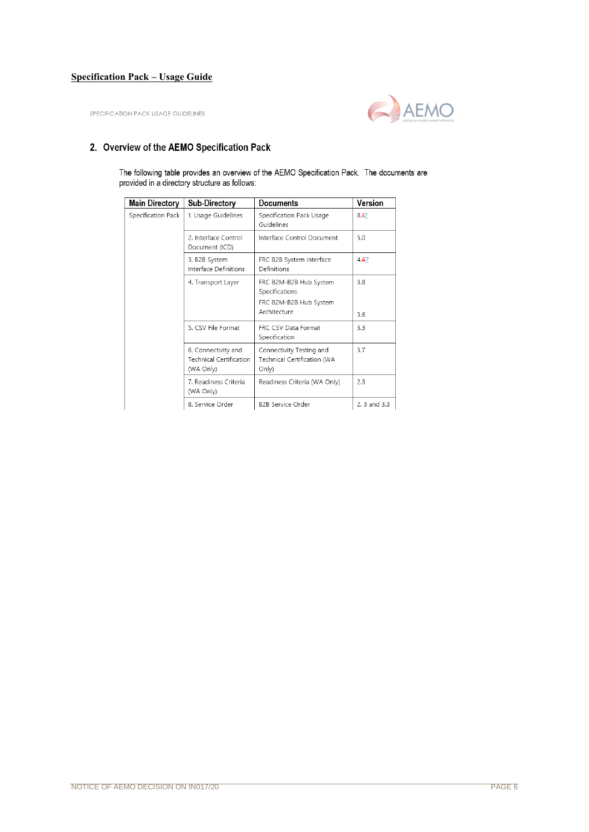#### **Specification Pack – Usage Guide**

SPECIFICATION PACK USAGE GUIDELINES



## 2. Overview of the AEMO Specification Pack

The following table provides an overview of the AEMO Specification Pack. The documents are provided in a directory structure as follows:

| <b>Main Directory</b> | Sub-Directory                                               | Documents                                                                          | Version     |
|-----------------------|-------------------------------------------------------------|------------------------------------------------------------------------------------|-------------|
| Specification Pack    | 1. Usage Guidelines                                         | Specification Pack Usage<br>Guidelines                                             | 8.42        |
|                       | 2. Interface Control<br>Document (ICD)                      | Interface Control Document                                                         | 5.0         |
|                       | 3. B2B System<br>Interface Definitions                      | FRC B2B System Interface<br>Definitions                                            | 4.67        |
|                       | 4. Transport Layer                                          | FRC B2M-B2B Hub System<br>Specifications<br>FRC B2M-B2B Hub System<br>Architecture | 3.8<br>3.6  |
|                       | 5. CSV File Format                                          | FRC CSV Data Format<br>Specification                                               | 3.3         |
|                       | 6. Connectivity and<br>Technical Certification<br>(WA Only) | Connectivity Testing and<br>Technical Certification (WA<br>Only)                   | 3.7         |
|                       | 7. Readiness Criteria<br>(WA Only)                          | Readiness Criteria (WA Only)                                                       | 2.3         |
|                       | 8. Service Order                                            | <b>B2B Service Order</b>                                                           | 2.3 and 3.3 |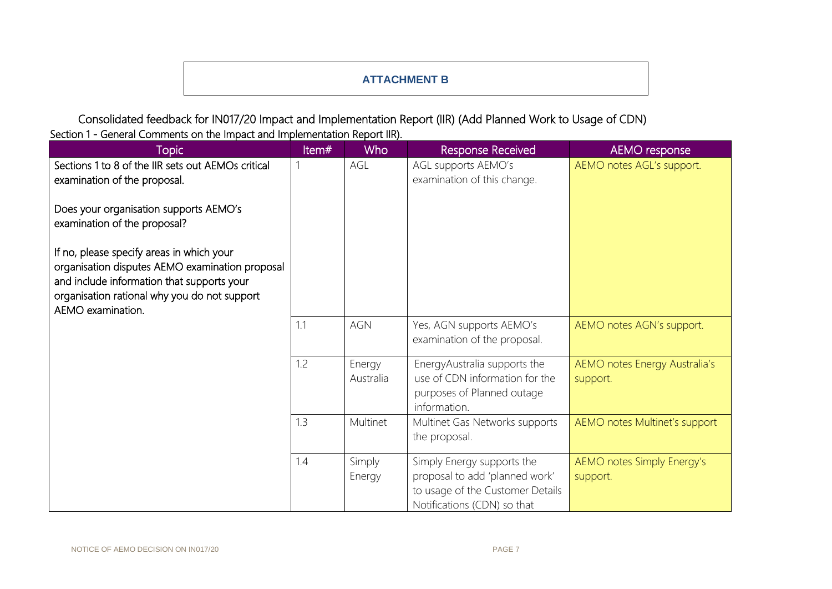## **ATTACHMENT B**

Consolidated feedback for IN017/20 Impact and Implementation Report (IIR) (Add Planned Work to Usage of CDN) Section 1 - General Comments on the Impact and Implementation Report IIR).

| <b>Topic</b>                                                                                                                                                                                                    | Item# | <b>Who</b>          | <b>Response Received</b>                                                                                                        | AEMO response                             |
|-----------------------------------------------------------------------------------------------------------------------------------------------------------------------------------------------------------------|-------|---------------------|---------------------------------------------------------------------------------------------------------------------------------|-------------------------------------------|
| Sections 1 to 8 of the IIR sets out AEMOs critical<br>examination of the proposal.                                                                                                                              |       | AGL                 | AGL supports AEMO's<br>examination of this change.                                                                              | AEMO notes AGL's support.                 |
| Does your organisation supports AEMO's<br>examination of the proposal?                                                                                                                                          |       |                     |                                                                                                                                 |                                           |
| If no, please specify areas in which your<br>organisation disputes AEMO examination proposal<br>and include information that supports your<br>organisation rational why you do not support<br>AEMO examination. |       |                     |                                                                                                                                 |                                           |
|                                                                                                                                                                                                                 | 1.1   | <b>AGN</b>          | Yes, AGN supports AEMO's<br>examination of the proposal.                                                                        | AEMO notes AGN's support.                 |
|                                                                                                                                                                                                                 | 1.2   | Energy<br>Australia | EnergyAustralia supports the<br>use of CDN information for the<br>purposes of Planned outage<br>information.                    | AEMO notes Energy Australia's<br>support. |
|                                                                                                                                                                                                                 | 1.3   | Multinet            | Multinet Gas Networks supports<br>the proposal.                                                                                 | AEMO notes Multinet's support             |
|                                                                                                                                                                                                                 | 1.4   | Simply<br>Energy    | Simply Energy supports the<br>proposal to add 'planned work'<br>to usage of the Customer Details<br>Notifications (CDN) so that | AEMO notes Simply Energy's<br>support.    |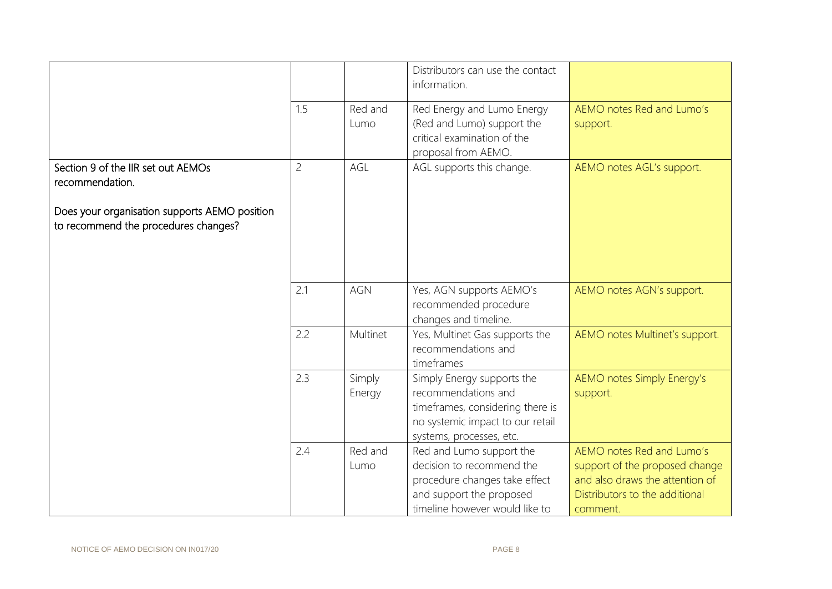|                                                                                       |                |                  | Distributors can use the contact<br>information.                                                                                                      |                                                                                                                                              |
|---------------------------------------------------------------------------------------|----------------|------------------|-------------------------------------------------------------------------------------------------------------------------------------------------------|----------------------------------------------------------------------------------------------------------------------------------------------|
|                                                                                       | 1.5            | Red and<br>Lumo  | Red Energy and Lumo Energy<br>(Red and Lumo) support the<br>critical examination of the<br>proposal from AEMO.                                        | AEMO notes Red and Lumo's<br>support.                                                                                                        |
| Section 9 of the IIR set out AEMOs<br>recommendation.                                 | $\overline{c}$ | AGL              | AGL supports this change.                                                                                                                             | AEMO notes AGL's support.                                                                                                                    |
| Does your organisation supports AEMO position<br>to recommend the procedures changes? |                |                  |                                                                                                                                                       |                                                                                                                                              |
|                                                                                       | 2.1            | AGN              | Yes, AGN supports AEMO's<br>recommended procedure<br>changes and timeline.                                                                            | AEMO notes AGN's support.                                                                                                                    |
|                                                                                       | 2.2            | Multinet         | Yes, Multinet Gas supports the<br>recommendations and<br>timeframes                                                                                   | AEMO notes Multinet's support.                                                                                                               |
|                                                                                       | 2.3            | Simply<br>Energy | Simply Energy supports the<br>recommendations and<br>timeframes, considering there is<br>no systemic impact to our retail<br>systems, processes, etc. | AEMO notes Simply Energy's<br>support.                                                                                                       |
|                                                                                       | 2.4            | Red and<br>Lumo  | Red and Lumo support the<br>decision to recommend the<br>procedure changes take effect<br>and support the proposed<br>timeline however would like to  | AEMO notes Red and Lumo's<br>support of the proposed change<br>and also draws the attention of<br>Distributors to the additional<br>comment. |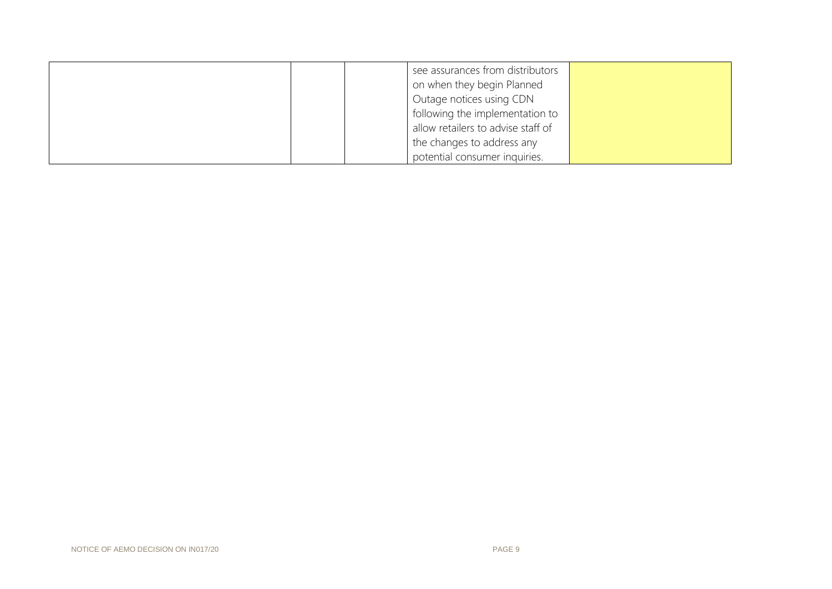| see assurances from distributors<br>on when they begin Planned<br>Outage notices using CDN<br>following the implementation to |  |
|-------------------------------------------------------------------------------------------------------------------------------|--|
| allow retailers to advise staff of                                                                                            |  |
| the changes to address any                                                                                                    |  |
| potential consumer inquiries.                                                                                                 |  |